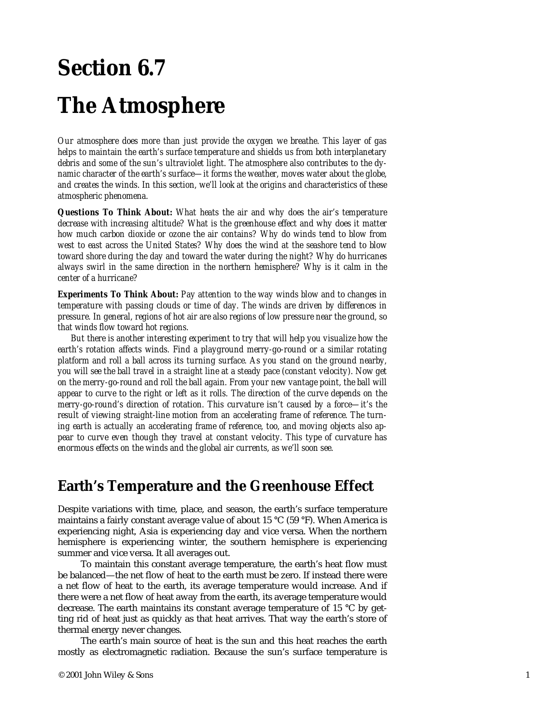# **Section 6.7 The Atmosphere**

*Our atmosphere does more than just provide the oxygen we breathe. This layer of gas helps to maintain the earth's surface temperature and shields us from both interplanetary debris and some of the sun's ultraviolet light. The atmosphere also contributes to the dynamic character of the earth's surface—it forms the weather, moves water about the globe, and creates the winds. In this section, we'll look at the origins and characteristics of these atmospheric phenomena.* 

*Questions To Think About: What heats the air and why does the air's temperature decrease with increasing altitude? What is the greenhouse effect and why does it matter how much carbon dioxide or ozone the air contains? Why do winds tend to blow from west to east across the United States? Why does the wind at the seashore tend to blow toward shore during the day and toward the water during the night? Why do hurricanes always swirl in the same direction in the northern hemisphere? Why is it calm in the center of a hurricane?* 

*Experiments To Think About: Pay attention to the way winds blow and to changes in temperature with passing clouds or time of day. The winds are driven by differences in pressure. In general, regions of hot air are also regions of low pressure near the ground, so that winds flow toward hot regions.* 

*But there is another interesting experiment to try that will help you visualize how the earth's rotation affects winds. Find a playground merry-go-round or a similar rotating platform and roll a ball across its turning surface. As you stand on the ground nearby, you will see the ball travel in a straight line at a steady pace (constant velocity). Now get on the merry-go-round and roll the ball again. From your new vantage point, the ball will appear to curve to the right or left as it rolls. The direction of the curve depends on the merry-go-round's direction of rotation. This curvature isn't caused by a force—it's the result of viewing straight-line motion from an accelerating frame of reference. The turning earth is actually an accelerating frame of reference, too, and moving objects also appear to curve even though they travel at constant velocity. This type of curvature has enormous effects on the winds and the global air currents, as we'll soon see.* 

# **Earth's Temperature and the Greenhouse Effect**

Despite variations with time, place, and season, the earth's surface temperature maintains a fairly constant average value of about 15 °C (59 °F). When America is experiencing night, Asia is experiencing day and vice versa. When the northern hemisphere is experiencing winter, the southern hemisphere is experiencing summer and vice versa. It all averages out.

To maintain this constant average temperature, the earth's heat flow must be balanced—the net flow of heat to the earth must be zero. If instead there were a net flow of heat to the earth, its average temperature would increase. And if there were a net flow of heat away from the earth, its average temperature would decrease. The earth maintains its constant average temperature of 15 °C by getting rid of heat just as quickly as that heat arrives. That way the earth's store of thermal energy never changes.

The earth's main source of heat is the sun and this heat reaches the earth mostly as electromagnetic radiation. Because the sun's surface temperature is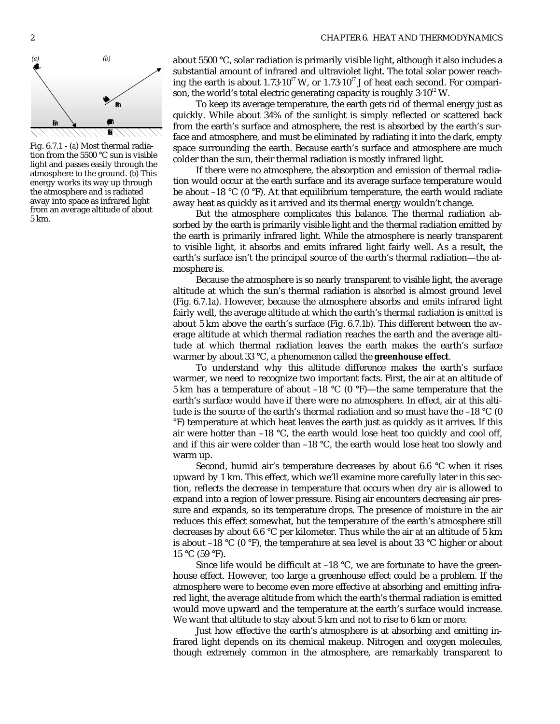

Fig. 6.7.1 - (*a*) Most thermal radiation from the 5500 °C sun is visible light and passes easily through the atmosphere to the ground. (*b*) This energy works its way up through the atmosphere and is radiated away into space as infrared light from an average altitude of about 5 km.

about 5500 °C, solar radiation is primarily visible light, although it also includes a substantial amount of infrared and ultraviolet light. The total solar power reaching the earth is about  $1.73 \cdot 10^{17}$  W, or  $1.73 \cdot 10^{17}$  J of heat each second. For comparison, the world's total electric generating capacity is roughly  $3.10^{12}$  W.

To keep its average temperature, the earth gets rid of thermal energy just as quickly. While about 34% of the sunlight is simply reflected or scattered back from the earth's surface and atmosphere, the rest is absorbed by the earth's surface and atmosphere, and must be eliminated by radiating it into the dark, empty space surrounding the earth. Because earth's surface and atmosphere are much colder than the sun, their thermal radiation is mostly infrared light.

If there were no atmosphere, the absorption and emission of thermal radiation would occur at the earth surface and its average surface temperature would be about –18 °C (0 °F). At that equilibrium temperature, the earth would radiate away heat as quickly as it arrived and its thermal energy wouldn't change.

But the atmosphere complicates this balance. The thermal radiation absorbed by the earth is primarily visible light and the thermal radiation emitted by the earth is primarily infrared light. While the atmosphere is nearly transparent to visible light, it absorbs and emits infrared light fairly well. As a result, the earth's surface isn't the principal source of the earth's thermal radiation—the atmosphere is.

Because the atmosphere is so nearly transparent to visible light, the average altitude at which the sun's thermal radiation is *absorbed* is almost ground level (Fig. 6.7.1*a*). However, because the atmosphere absorbs and emits infrared light fairly well, the average altitude at which the earth's thermal radiation is *emitted* is about 5 km above the earth's surface (Fig. 6.7.1*b*). This different between the average altitude at which thermal radiation reaches the earth and the average altitude at which thermal radiation leaves the earth makes the earth's surface warmer by about 33 °C, a phenomenon called the **greenhouse effect**.

To understand why this altitude difference makes the earth's surface warmer, we need to recognize two important facts. First, the air at an altitude of 5 km has a temperature of about –18 °C (0 °F)—the same temperature that the earth's surface would have if there were no atmosphere. In effect, air at this altitude is the source of the earth's thermal radiation and so must have the –18 °C (0 °F) temperature at which heat leaves the earth just as quickly as it arrives. If this air were hotter than –18 °C, the earth would lose heat too quickly and cool off, and if this air were colder than –18 °C, the earth would lose heat too slowly and warm up.

Second, humid air's temperature decreases by about 6.6 °C when it rises upward by 1 km. This effect, which we'll examine more carefully later in this section, reflects the decrease in temperature that occurs when dry air is allowed to expand into a region of lower pressure. Rising air encounters decreasing air pressure and expands, so its temperature drops. The presence of moisture in the air reduces this effect somewhat, but the temperature of the earth's atmosphere still decreases by about 6.6 °C per kilometer. Thus while the air at an altitude of 5 km is about –18 °C (0 °F), the temperature at sea level is about 33 °C higher or about  $15 °C$  (59 °F).

Since life would be difficult at  $-18$  °C, we are fortunate to have the greenhouse effect. However, too large a greenhouse effect could be a problem. If the atmosphere were to become even more effective at absorbing and emitting infrared light, the average altitude from which the earth's thermal radiation is emitted would move upward and the temperature at the earth's surface would increase. We want that altitude to stay about 5 km and not to rise to 6 km or more.

Just how effective the earth's atmosphere is at absorbing and emitting infrared light depends on its chemical makeup. Nitrogen and oxygen molecules, though extremely common in the atmosphere, are remarkably transparent to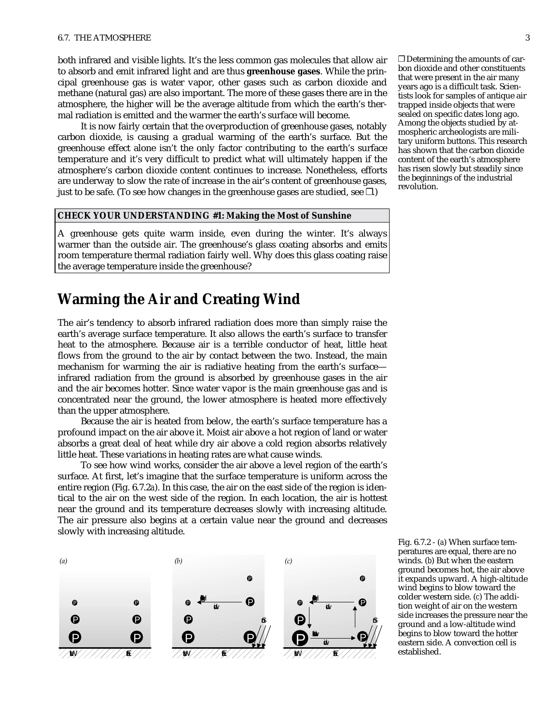both infrared and visible lights. It's the less common gas molecules that allow air to absorb and emit infrared light and are thus **greenhouse gases**. While the principal greenhouse gas is water vapor, other gases such as carbon dioxide and methane (natural gas) are also important. The more of these gases there are in the atmosphere, the higher will be the average altitude from which the earth's thermal radiation is emitted and the warmer the earth's surface will become.

It is now fairly certain that the overproduction of greenhouse gases, notably carbon dioxide, is causing a gradual warming of the earth's surface. But the greenhouse effect alone isn't the only factor contributing to the earth's surface temperature and it's very difficult to predict what will ultimately happen if the atmosphere's carbon dioxide content continues to increase. Nonetheless, efforts are underway to slow the rate of increase in the air's content of greenhouse gases, just to be safe. (To see how changes in the greenhouse gases are studied, see  $\Box$ .)

### **CHECK YOUR UNDERSTANDING #1: Making the Most of Sunshine**

A greenhouse gets quite warm inside, even during the winter. It's always warmer than the outside air. The greenhouse's glass coating absorbs and emits room temperature thermal radiation fairly well. Why does this glass coating raise the average temperature inside the greenhouse?

## **Warming the Air and Creating Wind**

The air's tendency to absorb infrared radiation does more than simply raise the earth's average surface temperature. It also allows the earth's surface to transfer heat to the atmosphere. Because air is a terrible conductor of heat, little heat flows from the ground to the air by contact between the two. Instead, the main mechanism for warming the air is radiative heating from the earth's surface infrared radiation from the ground is absorbed by greenhouse gases in the air and the air becomes hotter. Since water vapor is the main greenhouse gas and is concentrated near the ground, the lower atmosphere is heated more effectively than the upper atmosphere.

Because the air is heated from below, the earth's surface temperature has a profound impact on the air above it. Moist air above a hot region of land or water absorbs a great deal of heat while dry air above a cold region absorbs relatively little heat. These variations in heating rates are what cause winds.

To see how wind works, consider the air above a level region of the earth's surface. At first, let's imagine that the surface temperature is uniform across the entire region (Fig. 6.7.2*a*). In this case, the air on the east side of the region is identical to the air on the west side of the region. In each location, the air is hottest near the ground and its temperature decreases slowly with increasing altitude. The air pressure also begins at a certain value near the ground and decreases slowly with increasing altitude.



Fig. 6.7.2 - (*a*) When surface temperatures are equal, there are no winds. (*b*) But when the eastern ground becomes hot, the air above it expands upward. A high-altitude wind begins to blow toward the colder western side. (*c*) The addition weight of air on the western side increases the pressure near the ground and a low-altitude wind begins to blow toward the hotter eastern side. A convection cell is established.

❐ Determining the amounts of carbon dioxide and other constituents that were present in the air many years ago is a difficult task. Scientists look for samples of antique air trapped inside objects that were sealed on specific dates long ago. Among the objects studied by atmospheric archeologists are military uniform buttons. This research has shown that the carbon dioxide content of the earth's atmosphere has risen slowly but steadily since the beginnings of the industrial revolution.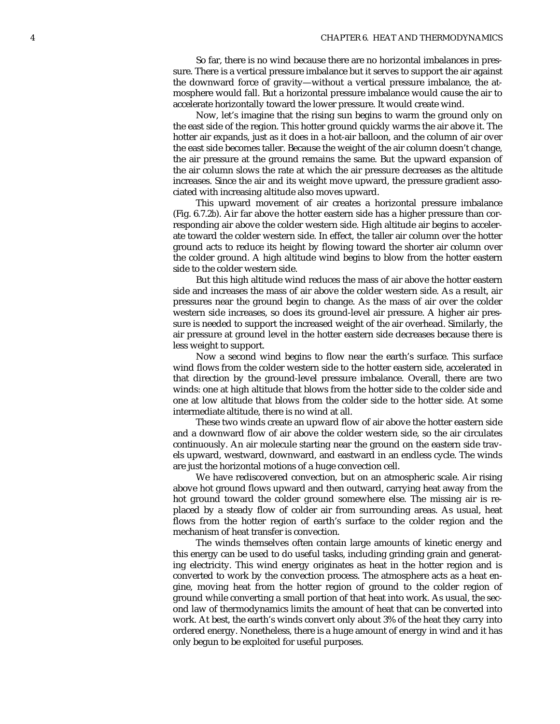So far, there is no wind because there are no horizontal imbalances in pressure. There is a vertical pressure imbalance but it serves to support the air against the downward force of gravity—without a vertical pressure imbalance, the atmosphere would fall. But a horizontal pressure imbalance would cause the air to accelerate horizontally toward the lower pressure. It would create wind.

Now, let's imagine that the rising sun begins to warm the ground only on the east side of the region. This hotter ground quickly warms the air above it. The hotter air expands, just as it does in a hot-air balloon, and the column of air over the east side becomes taller. Because the weight of the air column doesn't change, the air pressure at the ground remains the same. But the upward expansion of the air column slows the rate at which the air pressure decreases as the altitude increases. Since the air and its weight move upward, the pressure gradient associated with increasing altitude also moves upward.

This upward movement of air creates a horizontal pressure imbalance (Fig. 6.7.2*b*). Air far above the hotter eastern side has a higher pressure than corresponding air above the colder western side. High altitude air begins to accelerate toward the colder western side. In effect, the taller air column over the hotter ground acts to reduce its height by flowing toward the shorter air column over the colder ground. A high altitude wind begins to blow from the hotter eastern side to the colder western side.

But this high altitude wind reduces the mass of air above the hotter eastern side and increases the mass of air above the colder western side. As a result, air pressures near the ground begin to change. As the mass of air over the colder western side increases, so does its ground-level air pressure. A higher air pressure is needed to support the increased weight of the air overhead. Similarly, the air pressure at ground level in the hotter eastern side decreases because there is less weight to support.

Now a second wind begins to flow near the earth's surface. This surface wind flows from the colder western side to the hotter eastern side, accelerated in that direction by the ground-level pressure imbalance. Overall, there are two winds: one at high altitude that blows from the hotter side to the colder side and one at low altitude that blows from the colder side to the hotter side. At some intermediate altitude, there is no wind at all.

These two winds create an upward flow of air above the hotter eastern side and a downward flow of air above the colder western side, so the air circulates continuously. An air molecule starting near the ground on the eastern side travels upward, westward, downward, and eastward in an endless cycle. The winds are just the horizontal motions of a huge convection cell.

We have rediscovered convection, but on an atmospheric scale. Air rising above hot ground flows upward and then outward, carrying heat away from the hot ground toward the colder ground somewhere else. The missing air is replaced by a steady flow of colder air from surrounding areas. As usual, heat flows from the hotter region of earth's surface to the colder region and the mechanism of heat transfer is convection.

The winds themselves often contain large amounts of kinetic energy and this energy can be used to do useful tasks, including grinding grain and generating electricity. This wind energy originates as heat in the hotter region and is converted to work by the convection process. The atmosphere acts as a heat engine, moving heat from the hotter region of ground to the colder region of ground while converting a small portion of that heat into work. As usual, the second law of thermodynamics limits the amount of heat that can be converted into work. At best, the earth's winds convert only about 3% of the heat they carry into ordered energy. Nonetheless, there is a huge amount of energy in wind and it has only begun to be exploited for useful purposes.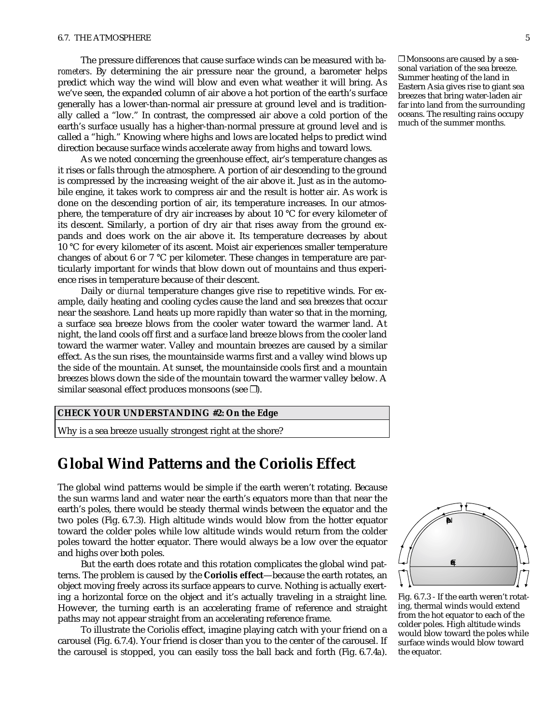The pressure differences that cause surface winds can be measured with *barometers*. By determining the air pressure near the ground, a barometer helps predict which way the wind will blow and even what weather it will bring. As we've seen, the expanded column of air above a hot portion of the earth's surface generally has a lower-than-normal air pressure at ground level and is traditionally called a "low." In contrast, the compressed air above a cold portion of the earth's surface usually has a higher-than-normal pressure at ground level and is called a "high." Knowing where highs and lows are located helps to predict wind direction because surface winds accelerate away from highs and toward lows.

As we noted concerning the greenhouse effect, air's temperature changes as it rises or falls through the atmosphere. A portion of air descending to the ground is compressed by the increasing weight of the air above it. Just as in the automobile engine, it takes work to compress air and the result is hotter air. As work is done on the descending portion of air, its temperature increases. In our atmosphere, the temperature of dry air increases by about 10 °C for every kilometer of its descent. Similarly, a portion of dry air that rises away from the ground expands and does work on the air above it. Its temperature decreases by about 10 °C for every kilometer of its ascent. Moist air experiences smaller temperature changes of about 6 or 7 °C per kilometer. These changes in temperature are particularly important for winds that blow down out of mountains and thus experience rises in temperature because of their descent.

Daily or *diurnal* temperature changes give rise to repetitive winds. For example, daily heating and cooling cycles cause the land and sea breezes that occur near the seashore. Land heats up more rapidly than water so that in the morning, a surface sea breeze blows from the cooler water toward the warmer land. At night, the land cools off first and a surface land breeze blows from the cooler land toward the warmer water. Valley and mountain breezes are caused by a similar effect. As the sun rises, the mountainside warms first and a valley wind blows up the side of the mountain. At sunset, the mountainside cools first and a mountain breezes blows down the side of the mountain toward the warmer valley below. A similar seasonal effect produces monsoons (see  $\Box$ ).

### **CHECK YOUR UNDERSTANDING #2: On the Edge**

Why is a sea breeze usually strongest right at the shore?

### **Global Wind Patterns and the Coriolis Effect**

The global wind patterns would be simple if the earth weren't rotating. Because the sun warms land and water near the earth's equators more than that near the earth's poles, there would be steady thermal winds between the equator and the two poles (Fig. 6.7.3). High altitude winds would blow from the hotter equator toward the colder poles while low altitude winds would return from the colder poles toward the hotter equator. There would always be a low over the equator and highs over both poles.

But the earth does rotate and this rotation complicates the global wind patterns. The problem is caused by the **Coriolis effect**—because the earth rotates, an object moving freely across its surface appears to curve. Nothing is actually exerting a horizontal force on the object and it's actually traveling in a straight line. However, the turning earth is an accelerating frame of reference and straight paths may not appear straight from an accelerating reference frame.

To illustrate the Coriolis effect, imagine playing catch with your friend on a carousel (Fig. 6.7.4). Your friend is closer than you to the center of the carousel. If the carousel is stopped, you can easily toss the ball back and forth (Fig. 6.7.4*a*).

❐ Monsoons are caused by a seasonal variation of the sea breeze. Summer heating of the land in Eastern Asia gives rise to giant sea breezes that bring water-laden air far into land from the surrounding oceans. The resulting rains occupy much of the summer months.



Fig. 6.7.3 - If the earth weren't rotating, thermal winds would extend from the hot equator to each of the colder poles. High altitude winds would blow toward the poles while surface winds would blow toward the equator.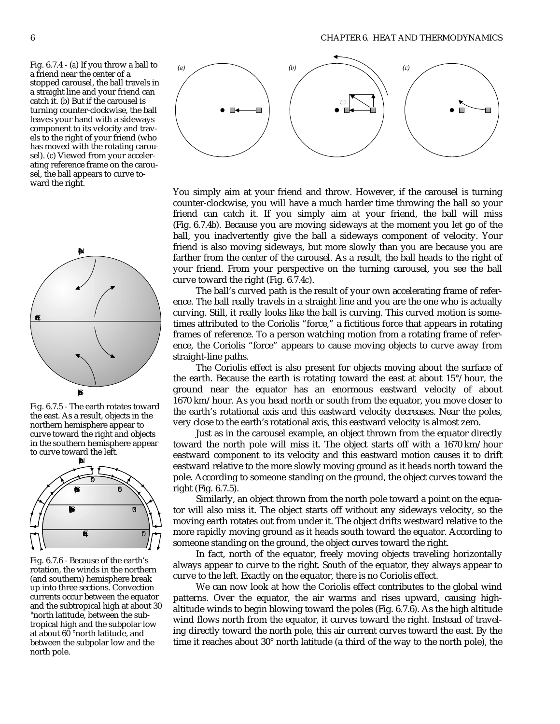a friend near the center of a stopped carousel, the ball travels in a straight line and your friend can catch it. (*b*) But if the carousel is turning counter-clockwise, the ball leaves your hand with a sideways component to its velocity and travels to the right of your friend (who has moved with the rotating carousel). (*c*) Viewed from your accelerating reference frame on the carousel, the ball appears to curve toward the right.



Fig. 6.7.5 - The earth rotates toward the east. As a result, objects in the northern hemisphere appear to curve toward the right and objects in the southern hemisphere appear to curve toward the left.



Fig. 6.7.6 - Because of the earth's rotation, the winds in the northern (and southern) hemisphere break up into three sections. Convection currents occur between the equator and the subtropical high at about 30 °north latitude, between the subtropical high and the subpolar low at about 60 °north latitude, and between the subpolar low and the north pole.



You simply aim at your friend and throw. However, if the carousel is turning counter-clockwise, you will have a much harder time throwing the ball so your friend can catch it. If you simply aim at your friend, the ball will miss (Fig. 6.7.4*b*). Because you are moving sideways at the moment you let go of the ball, you inadvertently give the ball a sideways component of velocity. Your friend is also moving sideways, but more slowly than you are because you are farther from the center of the carousel. As a result, the ball heads to the right of your friend. From your perspective on the turning carousel, you see the ball curve toward the right (Fig. 6.7.4*c*).

The ball's curved path is the result of your own accelerating frame of reference. The ball really travels in a straight line and you are the one who is actually curving. Still, it really looks like the ball is curving. This curved motion is sometimes attributed to the Coriolis "force," a fictitious force that appears in rotating frames of reference. To a person watching motion from a rotating frame of reference, the Coriolis "force" appears to cause moving objects to curve away from straight-line paths.

The Coriolis effect is also present for objects moving about the surface of the earth. Because the earth is rotating toward the east at about 15°/hour, the ground near the equator has an enormous eastward velocity of about 1670 km/hour. As you head north or south from the equator, you move closer to the earth's rotational axis and this eastward velocity decreases. Near the poles, very close to the earth's rotational axis, this eastward velocity is almost zero.

Just as in the carousel example, an object thrown from the equator directly toward the north pole will miss it. The object starts off with a 1670 km/hour eastward component to its velocity and this eastward motion causes it to drift eastward relative to the more slowly moving ground as it heads north toward the pole. According to someone standing on the ground, the object curves toward the right (Fig. 6.7.5).

Similarly, an object thrown from the north pole toward a point on the equator will also miss it. The object starts off without any sideways velocity, so the moving earth rotates out from under it. The object drifts westward relative to the more rapidly moving ground as it heads south toward the equator. According to someone standing on the ground, the object curves toward the right.

In fact, north of the equator, freely moving objects traveling horizontally always appear to curve to the right. South of the equator, they always appear to curve to the left. Exactly on the equator, there is no Coriolis effect.

We can now look at how the Coriolis effect contributes to the global wind patterns. Over the equator, the air warms and rises upward, causing highaltitude winds to begin blowing toward the poles (Fig. 6.7.6). As the high altitude wind flows north from the equator, it curves toward the right. Instead of traveling directly toward the north pole, this air current curves toward the east. By the time it reaches about 30° north latitude (a third of the way to the north pole), the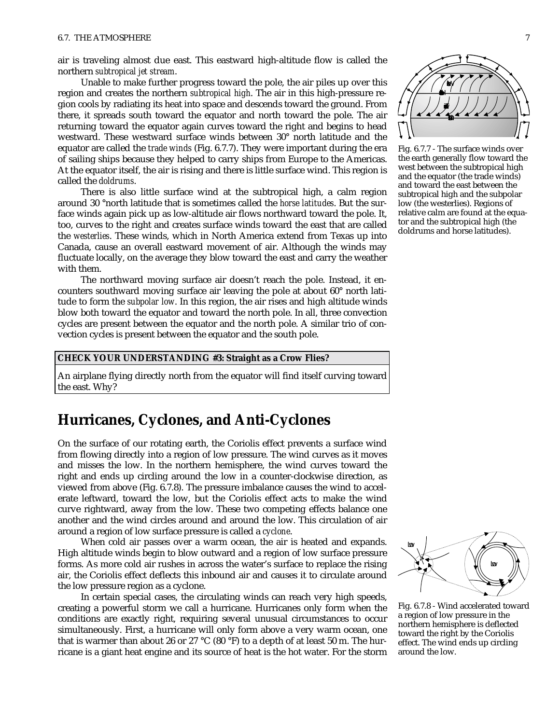air is traveling almost due east. This eastward high-altitude flow is called the northern *subtropical jet stream*.

Unable to make further progress toward the pole, the air piles up over this region and creates the northern *subtropical high*. The air in this high-pressure region cools by radiating its heat into space and descends toward the ground. From there, it spreads south toward the equator and north toward the pole. The air returning toward the equator again curves toward the right and begins to head westward. These westward surface winds between 30° north latitude and the equator are called the *trade winds* (Fig. 6.7.7). They were important during the era of sailing ships because they helped to carry ships from Europe to the Americas. At the equator itself, the air is rising and there is little surface wind. This region is called the *doldrums*.

There is also little surface wind at the subtropical high, a calm region around 30 °north latitude that is sometimes called the *horse latitudes*. But the surface winds again pick up as low-altitude air flows northward toward the pole. It, too, curves to the right and creates surface winds toward the east that are called the *westerlies*. These winds, which in North America extend from Texas up into Canada, cause an overall eastward movement of air. Although the winds may fluctuate locally, on the average they blow toward the east and carry the weather with them.

The northward moving surface air doesn't reach the pole. Instead, it encounters southward moving surface air leaving the pole at about 60° north latitude to form the *subpolar low*. In this region, the air rises and high altitude winds blow both toward the equator and toward the north pole. In all, three convection cycles are present between the equator and the north pole. A similar trio of convection cycles is present between the equator and the south pole.

### **CHECK YOUR UNDERSTANDING #3: Straight as a Crow Flies?**

An airplane flying directly north from the equator will find itself curving toward the east. Why?

# **Hurricanes, Cyclones, and Anti-Cyclones**

On the surface of our rotating earth, the Coriolis effect prevents a surface wind from flowing directly into a region of low pressure. The wind curves as it moves and misses the low. In the northern hemisphere, the wind curves toward the right and ends up circling around the low in a counter-clockwise direction, as viewed from above (Fig. 6.7.8). The pressure imbalance causes the wind to accelerate leftward, toward the low, but the Coriolis effect acts to make the wind curve rightward, away from the low. These two competing effects balance one another and the wind circles around and around the low. This circulation of air around a region of low surface pressure is called a *cyclone*.

When cold air passes over a warm ocean, the air is heated and expands. High altitude winds begin to blow outward and a region of low surface pressure forms. As more cold air rushes in across the water's surface to replace the rising air, the Coriolis effect deflects this inbound air and causes it to circulate around the low pressure region as a cyclone.

In certain special cases, the circulating winds can reach very high speeds, creating a powerful storm we call a hurricane. Hurricanes only form when the conditions are exactly right, requiring several unusual circumstances to occur simultaneously. First, a hurricane will only form above a very warm ocean, one that is warmer than about 26 or 27 °C (80 °F) to a depth of at least 50 m. The hurricane is a giant heat engine and its source of heat is the hot water. For the storm



Fig. 6.7.7 - The surface winds over the earth generally flow toward the west between the subtropical high and the equator (the trade winds) and toward the east between the subtropical high and the subpolar low (the westerlies). Regions of relative calm are found at the equator and the subtropical high (the doldrums and horse latitudes).



Fig. 6.7.8 - Wind accelerated toward a region of low pressure in the northern hemisphere is deflected toward the right by the Coriolis effect. The wind ends up circling around the low.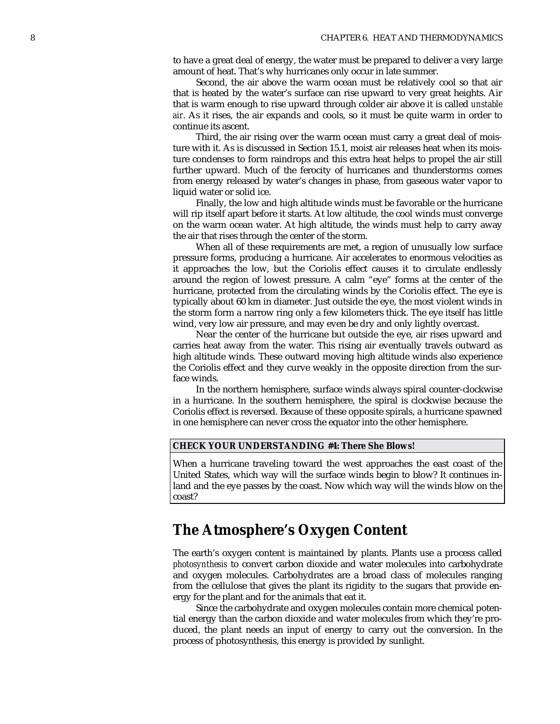to have a great deal of energy, the water must be prepared to deliver a very large amount of heat. That's why hurricanes only occur in late summer.

Second, the air above the warm ocean must be relatively cool so that air that is heated by the water's surface can rise upward to very great heights. Air that is warm enough to rise upward through colder air above it is called *unstable air*. As it rises, the air expands and cools, so it must be quite warm in order to continue its ascent.

Third, the air rising over the warm ocean must carry a great deal of moisture with it. As is discussed in Section 15.1, moist air releases heat when its moisture condenses to form raindrops and this extra heat helps to propel the air still further upward. Much of the ferocity of hurricanes and thunderstorms comes from energy released by water's changes in phase, from gaseous water vapor to liquid water or solid ice.

Finally, the low and high altitude winds must be favorable or the hurricane will rip itself apart before it starts. At low altitude, the cool winds must converge on the warm ocean water. At high altitude, the winds must help to carry away the air that rises through the center of the storm.

When all of these requirements are met, a region of unusually low surface pressure forms, producing a hurricane. Air accelerates to enormous velocities as it approaches the low, but the Coriolis effect causes it to circulate endlessly around the region of lowest pressure. A calm "eye" forms at the center of the hurricane, protected from the circulating winds by the Coriolis effect. The eye is typically about 60 km in diameter. Just outside the eye, the most violent winds in the storm form a narrow ring only a few kilometers thick. The eye itself has little wind, very low air pressure, and may even be dry and only lightly overcast.

Near the center of the hurricane but outside the eye, air rises upward and carries heat away from the water. This rising air eventually travels outward as high altitude winds. These outward moving high altitude winds also experience the Coriolis effect and they curve weakly in the opposite direction from the surface winds.

In the northern hemisphere, surface winds always spiral counter-clockwise in a hurricane. In the southern hemisphere, the spiral is clockwise because the Coriolis effect is reversed. Because of these opposite spirals, a hurricane spawned in one hemisphere can never cross the equator into the other hemisphere.

#### **CHECK YOUR UNDERSTANDING #4: There She Blows!**

When a hurricane traveling toward the west approaches the east coast of the United States, which way will the surface winds begin to blow? It continues inland and the eye passes by the coast. Now which way will the winds blow on the coast?

### **The Atmosphere's Oxygen Content**

The earth's oxygen content is maintained by plants. Plants use a process called *photosynthesis* to convert carbon dioxide and water molecules into carbohydrate and oxygen molecules. Carbohydrates are a broad class of molecules ranging from the cellulose that gives the plant its rigidity to the sugars that provide energy for the plant and for the animals that eat it.

Since the carbohydrate and oxygen molecules contain more chemical potential energy than the carbon dioxide and water molecules from which they're produced, the plant needs an input of energy to carry out the conversion. In the process of photosynthesis, this energy is provided by sunlight.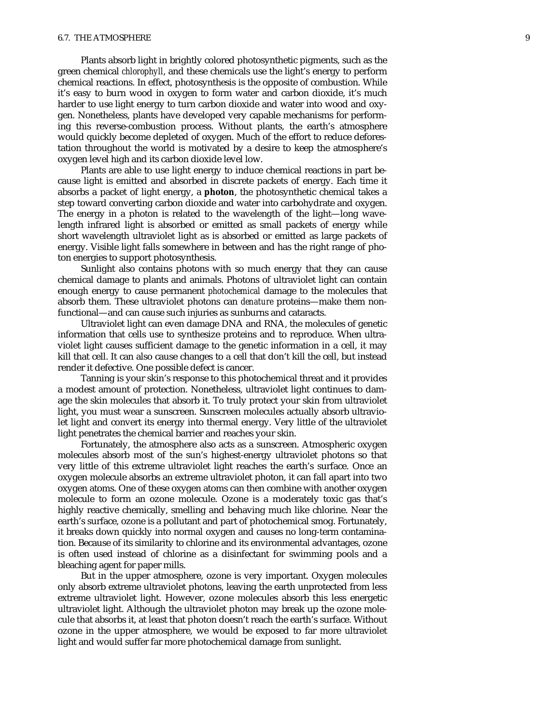#### 6.7. THE ATMOSPHERE 9

Plants absorb light in brightly colored photosynthetic pigments, such as the green chemical *chlorophyll*, and these chemicals use the light 's energy to perform chemical reactions. In effect, photosynthesis is the opposite of combustion. While it 's easy to burn wood in oxygen to form water and carbon dioxide, it 's much harder to use light energy to turn carbon dioxide and water into wood and oxygen. Nonetheless, plants have developed very capable mechanisms for performing this reverse-combustion process. Without plants, the earth's atmosphere would quickly become depleted of oxygen. Much of the effort to reduce deforestation throughout the world is motivated by a desire to keep the atmosphere's oxygen level high and its carbon dioxide level low.

Plants are able to use light energy to induce chemical reactions in part because light is emitted and absorbed in discrete packets of energy. Each time it absorbs a packet of light energy, a **photon**, the photosynthetic chemical takes a step toward converting carbon dioxide and water into carbohydrate and oxygen. The energy in a photon is related to the wavelength of the light—long wavelength infrared light is absorbed or emitted as small packets of energy while short wavelength ultraviolet light as is absorbed or emitted as large packets of energy. Visible light falls somewhere in between and has the right range of photon energies to support photosynthesis.

Sunlight also contains photons with so much energy that they can cause chemical damage to plants and animals. Photons of ultraviolet light can contain enough energy to cause permanent *photochemical* damage to the molecules that absorb them. These ultraviolet photons can *denature* proteins—make them nonfunctional—and can cause such injuries as sunburns and cataracts.

Ultraviolet light can even damage DNA and RNA, the molecules of genetic information that cells use to synthesize proteins and to reproduce. When ultraviolet light causes sufficient damage to the genetic information in a cell, it may kill that cell. It can also cause changes to a cell that don 't kill the cell, but instead render it defective. One possible defect is cancer.

Tanning is your skin 's response to this photochemical threat and it provides a modest amount of protection. Nonetheless, ultraviolet light continues to damage the skin molecules that absorb it. To truly protect your skin from ultraviolet light, you must wear a sunscreen. Sunscreen molecules actually absorb ultraviolet light and convert its energy into thermal energy. Very little of the ultraviolet light penetrates the chemical barrier and reaches your skin.

Fortunately, the atmosphere also acts as a sunscreen. Atmospheric oxygen molecules absorb most of the sun 's highest-energy ultraviolet photons so that very little of this extreme ultraviolet light reaches the earth 's surface. Once an oxygen molecule absorbs an extreme ultraviolet photon, it can fall apart into two oxygen atoms. One of these oxygen atoms can then combine with another oxygen molecule to form an ozone molecule. Ozone is a moderately toxic gas that 's highly reactive chemically, smelling and behaving much like chlorine. Near the earth 's surface, ozone is a pollutant and part of photochemical smog. Fortunately, it breaks down quickly into normal oxygen and causes no long-term contamination. Because of its similarity to chlorine and its environmental advantages, ozone is often used instead of chlorine as a disinfectant for swimming pools and a bleaching agent for paper mills.

But in the upper atmosphere, ozone is very important. Oxygen molecules only absorb extreme ultraviolet photons, leaving the earth unprotected from less extreme ultraviolet light. However, ozone molecules absorb this less energetic ultraviolet light. Although the ultraviolet photon may break up the ozone molecule that absorbs it, at least that photon doesn't reach the earth's surface. Without ozone in the upper atmosphere, we would be exposed to far more ultraviolet light and would suffer far more photochemical damage from sunlight.